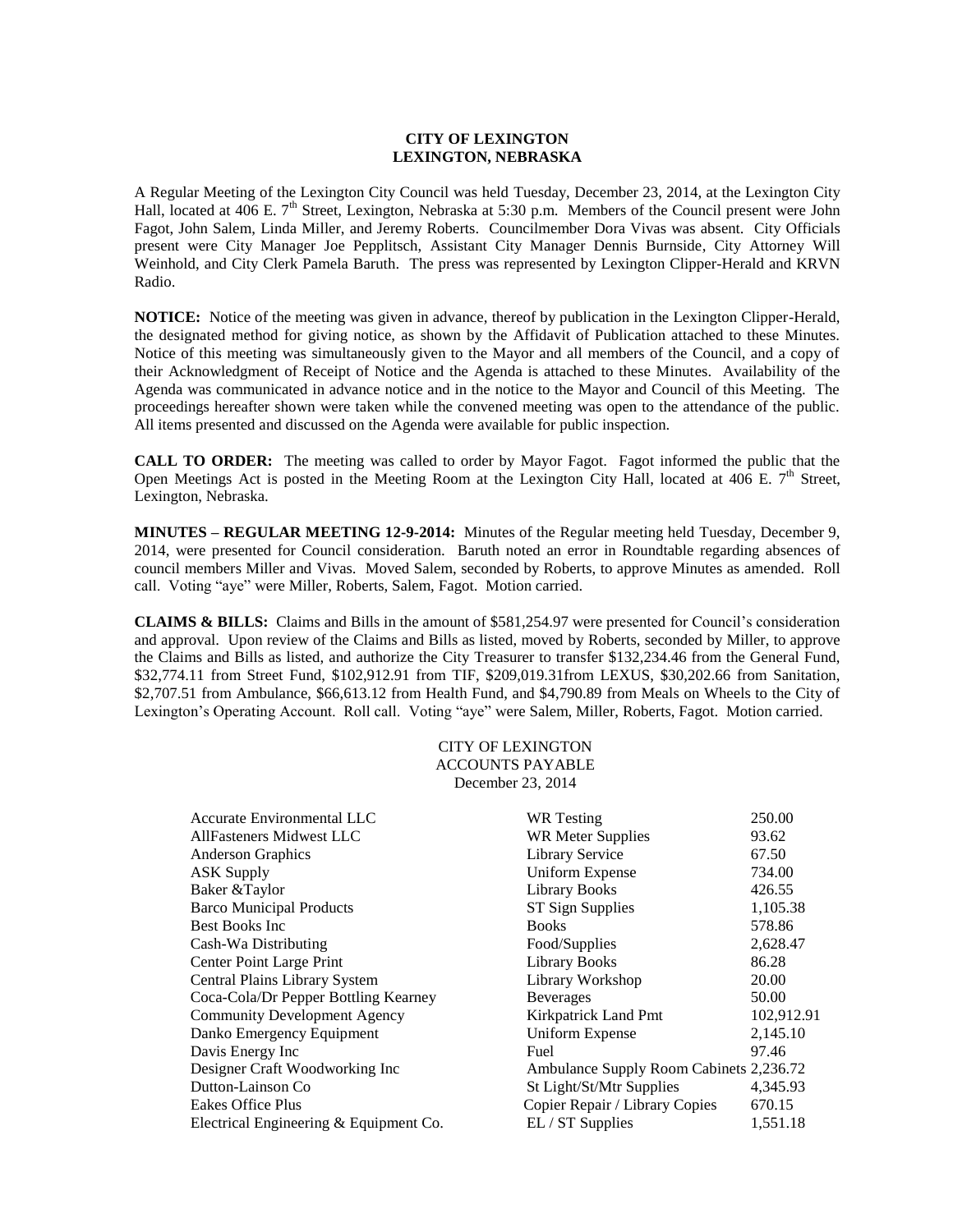## **CITY OF LEXINGTON LEXINGTON, NEBRASKA**

A Regular Meeting of the Lexington City Council was held Tuesday, December 23, 2014, at the Lexington City Hall, located at 406 E. 7<sup>th</sup> Street, Lexington, Nebraska at 5:30 p.m. Members of the Council present were John Fagot, John Salem, Linda Miller, and Jeremy Roberts. Councilmember Dora Vivas was absent. City Officials present were City Manager Joe Pepplitsch, Assistant City Manager Dennis Burnside, City Attorney Will Weinhold, and City Clerk Pamela Baruth. The press was represented by Lexington Clipper-Herald and KRVN Radio.

**NOTICE:** Notice of the meeting was given in advance, thereof by publication in the Lexington Clipper-Herald, the designated method for giving notice, as shown by the Affidavit of Publication attached to these Minutes. Notice of this meeting was simultaneously given to the Mayor and all members of the Council, and a copy of their Acknowledgment of Receipt of Notice and the Agenda is attached to these Minutes. Availability of the Agenda was communicated in advance notice and in the notice to the Mayor and Council of this Meeting. The proceedings hereafter shown were taken while the convened meeting was open to the attendance of the public. All items presented and discussed on the Agenda were available for public inspection.

**CALL TO ORDER:** The meeting was called to order by Mayor Fagot. Fagot informed the public that the Open Meetings Act is posted in the Meeting Room at the Lexington City Hall, located at 406 E.  $7<sup>th</sup>$  Street, Lexington, Nebraska.

**MINUTES – REGULAR MEETING 12-9-2014:** Minutes of the Regular meeting held Tuesday, December 9, 2014, were presented for Council consideration. Baruth noted an error in Roundtable regarding absences of council members Miller and Vivas. Moved Salem, seconded by Roberts, to approve Minutes as amended. Roll call. Voting "aye" were Miller, Roberts, Salem, Fagot. Motion carried.

**CLAIMS & BILLS:** Claims and Bills in the amount of \$581,254.97 were presented for Council's consideration and approval. Upon review of the Claims and Bills as listed, moved by Roberts, seconded by Miller, to approve the Claims and Bills as listed, and authorize the City Treasurer to transfer \$132,234.46 from the General Fund, \$32,774.11 from Street Fund, \$102,912.91 from TIF, \$209,019.31from LEXUS, \$30,202.66 from Sanitation, \$2,707.51 from Ambulance, \$66,613.12 from Health Fund, and \$4,790.89 from Meals on Wheels to the City of Lexington's Operating Account. Roll call. Voting "aye" were Salem, Miller, Roberts, Fagot. Motion carried.

> CITY OF LEXINGTON ACCOUNTS PAYABLE December 23, 2014

| <b>WR</b> Testing              | 250.00                                  |
|--------------------------------|-----------------------------------------|
| WR Meter Supplies              | 93.62                                   |
| <b>Library Service</b>         | 67.50                                   |
| <b>Uniform Expense</b>         | 734.00                                  |
| <b>Library Books</b>           | 426.55                                  |
| ST Sign Supplies               | 1,105.38                                |
| <b>Books</b>                   | 578.86                                  |
| Food/Supplies                  | 2,628.47                                |
| <b>Library Books</b>           | 86.28                                   |
| Library Workshop               | 20.00                                   |
| <b>Beverages</b>               | 50.00                                   |
| Kirkpatrick Land Pmt           | 102,912.91                              |
| Uniform Expense                | 2,145.10                                |
| Fuel                           | 97.46                                   |
|                                |                                         |
| St Light/St/Mtr Supplies       | 4,345.93                                |
| Copier Repair / Library Copies | 670.15                                  |
| EL / ST Supplies               | 1,551.18                                |
|                                | Ambulance Supply Room Cabinets 2,236.72 |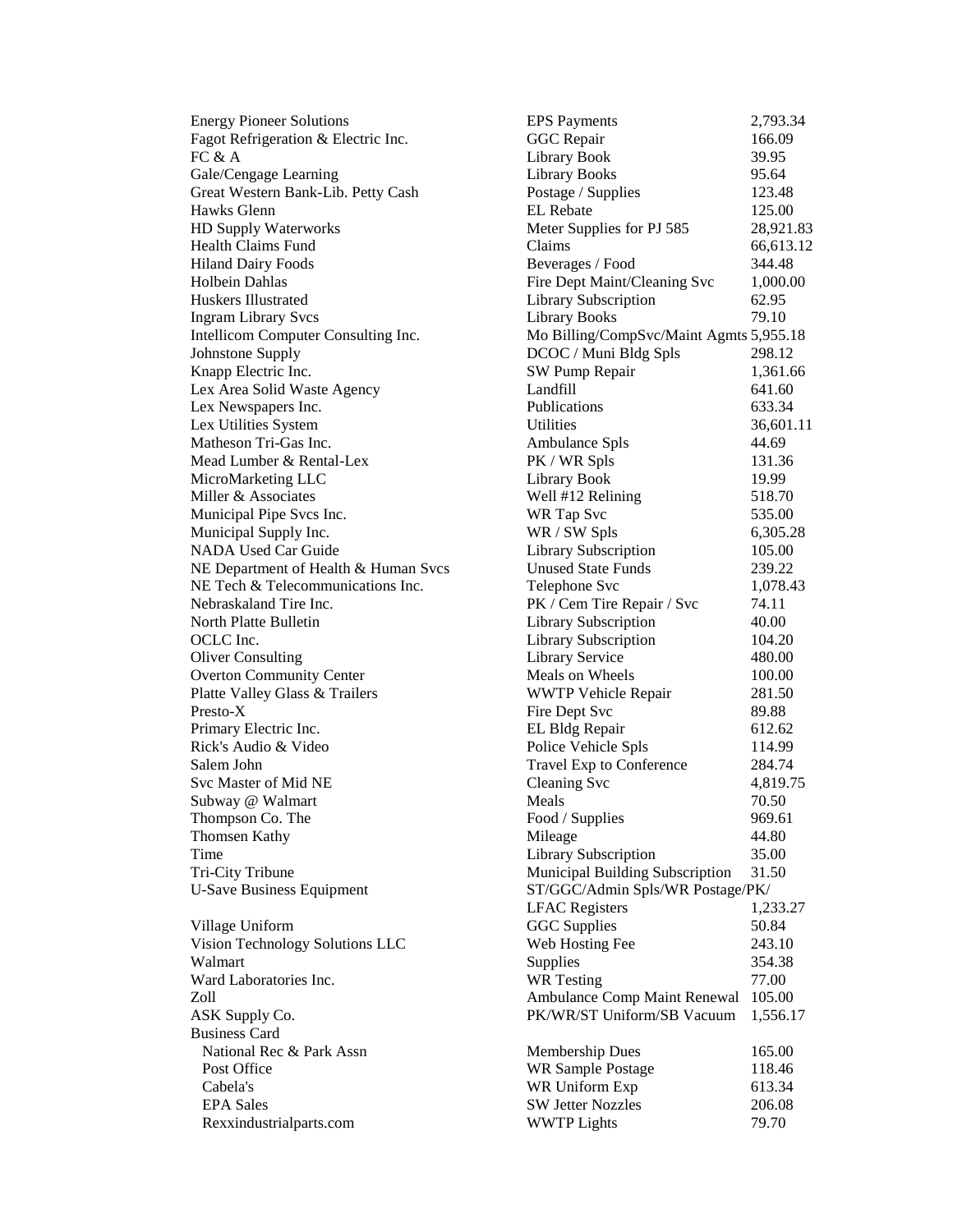U-Save Business Equipment ST/GGC/Admin Spls/WR Postage/PK/ Business Card

Energy Pioneer Solutions EPS Payments 2,793.34 Fagot Refrigeration & Electric Inc. 66.09 GGC Repair 66.09 FC  $\&$  A  $\qquad$  29.95 Gale/Cengage Learning The Library Books 55.64 Great Western Bank-Lib. Petty Cash Postage / Supplies 123.48 Hawks Glenn EL Rebate 125.00 HD Supply Waterworks Meter Supplies for PJ 585 28,921.83 Health Claims Fund **Claims Claims** 66,613.12 Hiland Dairy Foods Beverages / Food 344.48 Holbein Dahlas Fire Dept Maint/Cleaning Svc 1,000.00 Huskers Illustrated Library Subscription 62.95 Ingram Library Svcs Library Books 79.10 Intellicom Computer Consulting Inc. Mo Billing/CompSvc/Maint Agmts 5,955.18 Johnstone Supply DCOC / Muni Bldg Spls 298.12 Knapp Electric Inc. SW Pump Repair 1,361.66 Lex Area Solid Waste Agency Landfill 641.60 Lex Newspapers Inc. 633.34 Lex Utilities System Utilities 36,601.11 Matheson Tri-Gas Inc. **Ambulance** Spls 44.69 Mead Lumber & Rental-Lex PK / WR Spls 131.36 MicroMarketing LLC and Library Book 19.99 Miller & Associates The Contract Well #12 Relining 518.70 Municipal Pipe Svcs Inc. The Svcs Inc. The Svcs Inc. The Svcs Inc. 535.00 Municipal Supply Inc. 6,305.28 NADA Used Car Guide Library Subscription 105.00 NE Department of Health & Human Svcs Unused State Funds 239.22 NE Tech & Telecommunications Inc. Telephone Svc 1,078.43 Nebraskaland Tire Inc. The PK / Cem Tire Repair / Svc 74.11 North Platte Bulletin Library Subscription 40.00 OCLC Inc. 2012 20 Library Subscription 2012.20 Oliver Consulting Library Service 480.00 Overton Community Center **Meals** on Wheels 100.00 Platte Valley Glass & Trailers **WWTP Vehicle Repair** 281.50 Presto-X **Presto-X** Fire Dept Svc 89.88 Primary Electric Inc. **EL Bldg Repair** 612.62 Rick's Audio & Video Police Vehicle Spls 114.99 Salem John Travel Exp to Conference 284.74 Svc Master of Mid NE Cleaning Svc 4,819.75 Subway @ Walmart 1.1 and 1.50 Meals 1.50 Meals 1.50 Meals 1.50 Meals 1.50 Meals 1.50 Meals 1.50 Meals 1.50 Meals 1.50 Meals 1.50 Meals 1.50 Meals 1.50 Meals 1.50 Meals 1.50 Meals 1.50 Meals 1.50 Meals 1.50 Meals 1.50 Meals Thompson Co. The Food / Supplies 969.61 Thomsen Kathy **Mileage** 44.80 Time **Library Subscription** 35.00 Tri-City Tribune Municipal Building Subscription 31.50 LFAC Registers 1,233.27 Village Uniform **GGC Supplies** 50.84 Vision Technology Solutions LLC Web Hosting Fee 243.10 Walmart 354.38 Ward Laboratories Inc. The Contract Contract Contract Contract Contract Contract Contract Contract Contract Contract Contract Contract Contract Contract Contract Contract Contract Contract Contract Contract Contract Contra Zoll Ambulance Comp Maint Renewal 105.00 ASK Supply Co. **PK/WR/ST Uniform/SB Vacuum** 1,556.17 National Rec & Park Assn Membership Dues 165.00 Post Office **WR Sample Postage 118.46** Cabela's WR Uniform Exp 613.34 EPA Sales SW Jetter Nozzles 206.08 Rexxindustrialparts.com WWTP Lights 79.70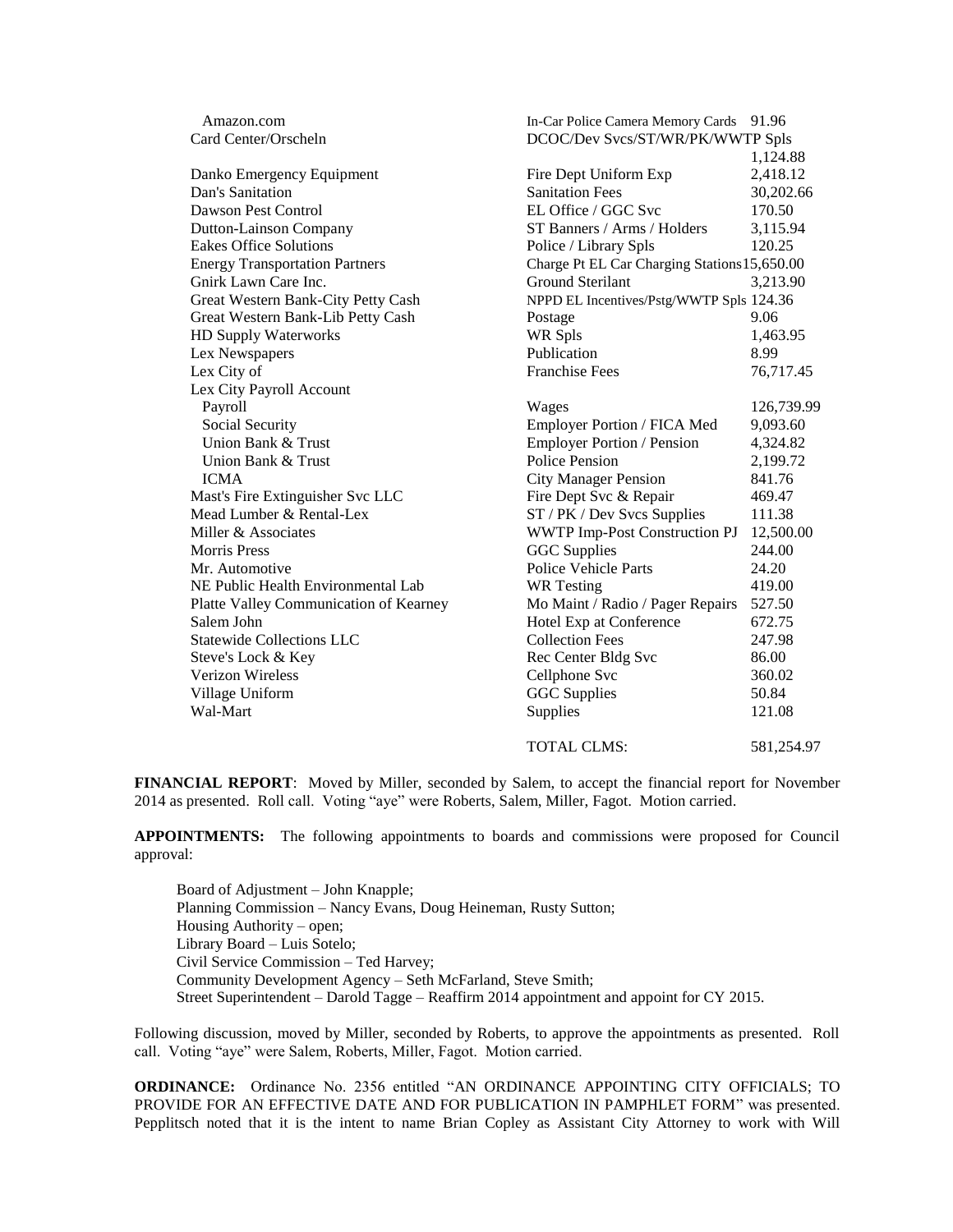| Amazon.com                             | In-Car Police Camera Memory Cards            | 91.96                            |  |
|----------------------------------------|----------------------------------------------|----------------------------------|--|
| Card Center/Orscheln                   |                                              | DCOC/Dev Svcs/ST/WR/PK/WWTP Spls |  |
|                                        |                                              | 1,124.88                         |  |
| Danko Emergency Equipment              | Fire Dept Uniform Exp                        | 2,418.12                         |  |
| Dan's Sanitation                       | <b>Sanitation Fees</b>                       | 30,202.66                        |  |
| Dawson Pest Control                    | EL Office / GGC Svc                          | 170.50                           |  |
| Dutton-Lainson Company                 | ST Banners / Arms / Holders                  | 3,115.94                         |  |
| <b>Eakes Office Solutions</b>          | Police / Library Spls                        | 120.25                           |  |
| <b>Energy Transportation Partners</b>  | Charge Pt EL Car Charging Stations 15,650.00 |                                  |  |
| Gnirk Lawn Care Inc.                   | Ground Sterilant                             | 3,213.90                         |  |
| Great Western Bank-City Petty Cash     | NPPD EL Incentives/Pstg/WWTP Spls 124.36     |                                  |  |
| Great Western Bank-Lib Petty Cash      | Postage                                      | 9.06                             |  |
| HD Supply Waterworks                   | WR Spls                                      | 1,463.95                         |  |
| Lex Newspapers                         | Publication                                  | 8.99                             |  |
| Lex City of                            | <b>Franchise Fees</b>                        | 76,717.45                        |  |
| Lex City Payroll Account               |                                              |                                  |  |
| Payroll                                | Wages                                        | 126,739.99                       |  |
| Social Security                        | Employer Portion / FICA Med                  | 9,093.60                         |  |
| Union Bank & Trust                     | Employer Portion / Pension                   | 4,324.82                         |  |
| Union Bank & Trust                     | <b>Police Pension</b>                        | 2,199.72                         |  |
| <b>ICMA</b>                            | <b>City Manager Pension</b>                  | 841.76                           |  |
| Mast's Fire Extinguisher Svc LLC       | Fire Dept Svc & Repair                       | 469.47                           |  |
| Mead Lumber & Rental-Lex               | ST / PK / Dev Svcs Supplies                  | 111.38                           |  |
| Miller & Associates                    | <b>WWTP Imp-Post Construction PJ</b>         | 12,500.00                        |  |
| <b>Morris Press</b>                    | <b>GGC</b> Supplies                          | 244.00                           |  |
| Mr. Automotive                         | Police Vehicle Parts                         | 24.20                            |  |
| NE Public Health Environmental Lab     | <b>WR</b> Testing                            | 419.00                           |  |
| Platte Valley Communication of Kearney | Mo Maint / Radio / Pager Repairs             | 527.50                           |  |
| Salem John                             | Hotel Exp at Conference                      | 672.75                           |  |
| <b>Statewide Collections LLC</b>       | <b>Collection Fees</b>                       | 247.98                           |  |
| Steve's Lock & Key                     | Rec Center Bldg Svc                          | 86.00                            |  |
| <b>Verizon Wireless</b>                | Cellphone Svc                                | 360.02                           |  |
| Village Uniform                        | <b>GGC</b> Supplies                          | 50.84                            |  |
| Wal-Mart                               | Supplies                                     | 121.08                           |  |
|                                        | <b>TOTAL CLMS:</b>                           | 581,254.97                       |  |

**FINANCIAL REPORT**: Moved by Miller, seconded by Salem, to accept the financial report for November 2014 as presented. Roll call. Voting "aye" were Roberts, Salem, Miller, Fagot. Motion carried.

**APPOINTMENTS:** The following appointments to boards and commissions were proposed for Council approval:

Board of Adjustment – John Knapple; Planning Commission – Nancy Evans, Doug Heineman, Rusty Sutton; Housing Authority – open; Library Board – Luis Sotelo; Civil Service Commission – Ted Harvey; Community Development Agency – Seth McFarland, Steve Smith; Street Superintendent – Darold Tagge – Reaffirm 2014 appointment and appoint for CY 2015.

Following discussion, moved by Miller, seconded by Roberts, to approve the appointments as presented. Roll call. Voting "aye" were Salem, Roberts, Miller, Fagot. Motion carried.

**ORDINANCE:** Ordinance No. 2356 entitled "AN ORDINANCE APPOINTING CITY OFFICIALS; TO PROVIDE FOR AN EFFECTIVE DATE AND FOR PUBLICATION IN PAMPHLET FORM" was presented. Pepplitsch noted that it is the intent to name Brian Copley as Assistant City Attorney to work with Will